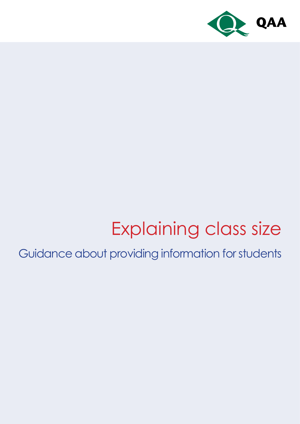

# Explaining class size

Guidance about providing information for students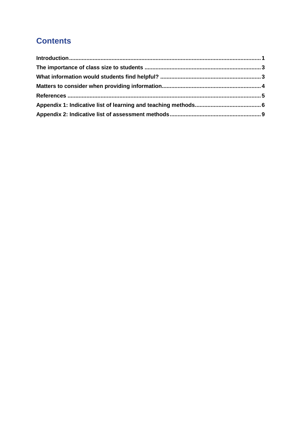# **Contents**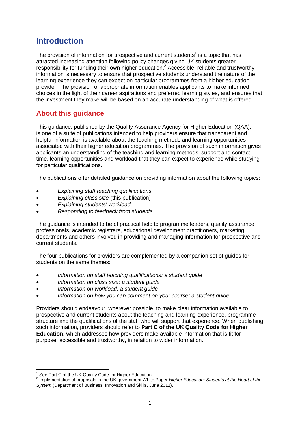# <span id="page-2-0"></span>**Introduction**

The provision of information for prospective and current students<sup>1</sup> is a topic that has attracted increasing attention following policy changes giving UK students greater responsibility for funding their own higher education.<sup>2</sup> Accessible, reliable and trustworthy information is necessary to ensure that prospective students understand the nature of the learning experience they can expect on particular programmes from a higher education provider. The provision of appropriate information enables applicants to make informed choices in the light of their career aspirations and preferred learning styles, and ensures that the investment they make will be based on an accurate understanding of what is offered.

## **About this guidance**

This guidance, published by the Quality Assurance Agency for Higher Education (QAA), is one of a suite of publications intended to help providers ensure that transparent and helpful information is available about the teaching methods and learning opportunities associated with their higher education programmes. The provision of such information gives applicants an understanding of the teaching and learning methods, support and contact time, learning opportunities and workload that they can expect to experience while studying for particular qualifications.

The publications offer detailed guidance on providing information about the following topics:

- *Explaining staff teaching qualifications*
- *Explaining class size* (this publication)
- *Explaining students' workload*
- *Responding to feedback from students*

The guidance is intended to be of practical help to programme leaders, quality assurance professionals, academic registrars, educational development practitioners, marketing departments and others involved in providing and managing information for prospective and current students.

The four publications for providers are complemented by a companion set of guides for students on the same themes:

- *Information on staff teaching qualifications: a student guide*
- *Information on class size: a student guide*
- *Information on workload: a student guide*
- *Information on how you can comment on your course: a student guide.*

Providers should endeavour, wherever possible, to make clear information available to prospective and current students about the teaching and learning experience, programme structure and the qualifications of the staff who will support that experience. When publishing such information, providers should refer to **Part C of the UK Quality Code for Higher Education**, which addresses how providers make available information that is fit for purpose, accessible and trustworthy, in relation to wider information.

-

 $1$  See Part C of the UK Quality Code for Higher Education.

<sup>2</sup> Implementation of proposals in the UK government White Paper *Higher Education: Students at the Heart of the System* (Department of Business, Innovation and Skills, June 2011).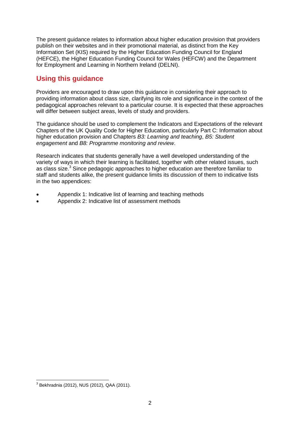The present guidance relates to information about higher education provision that providers publish on their websites and in their promotional material, as distinct from the Key Information Set (KIS) required by the Higher Education Funding Council for England (HEFCE), the Higher Education Funding Council for Wales (HEFCW) and the Department for Employment and Learning in Northern Ireland (DELNI).

## **Using this guidance**

Providers are encouraged to draw upon this guidance in considering their approach to providing information about class size, clarifying its role and significance in the context of the pedagogical approaches relevant to a particular course. It is expected that these approaches will differ between subject areas, levels of study and providers.

The guidance should be used to complement the Indicators and Expectations of the relevant Chapters of the UK Quality Code for Higher Education, particularly Part C: Information about higher education provision and Chapters *B3: Learning and teaching*, *B5: Student engagement* and *B8: Programme monitoring and review*.

Research indicates that students generally have a well developed understanding of the variety of ways in which their learning is facilitated, together with other related issues, such as class size.<sup>3</sup> Since pedagogic approaches to higher education are therefore familiar to staff and students alike, the present guidance limits its discussion of them to indicative lists in the two appendices:

- Appendix 1: Indicative list of learning and teaching methods
- Appendix 2: Indicative list of assessment methods

 3 Bekhradnia (2012), NUS (2012), QAA (2011).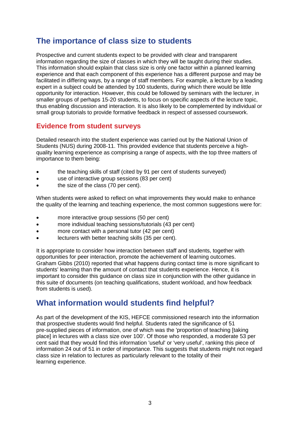# <span id="page-4-0"></span>**The importance of class size to students**

Prospective and current students expect to be provided with clear and transparent information regarding the size of classes in which they will be taught during their studies. This information should explain that class size is only one factor within a planned learning experience and that each component of this experience has a different purpose and may be facilitated in differing ways, by a range of staff members. For example, a lecture by a leading expert in a subject could be attended by 100 students, during which there would be little opportunity for interaction. However, this could be followed by seminars with the lecturer, in smaller groups of perhaps 15-20 students, to focus on specific aspects of the lecture topic, thus enabling discussion and interaction. It is also likely to be complemented by individual or small group tutorials to provide formative feedback in respect of assessed coursework.

## **Evidence from student surveys**

Detailed research into the student experience was carried out by the National Union of Students (NUS) during 2008-11. This provided evidence that students perceive a highquality learning experience as comprising a range of aspects, with the top three matters of importance to them being:

- the teaching skills of staff (cited by 91 per cent of students surveyed)
- use of interactive group sessions (83 per cent)
- the size of the class (70 per cent).

When students were asked to reflect on what improvements they would make to enhance the quality of the learning and teaching experience, the most common suggestions were for:

- more interactive group sessions (50 per cent)
- more individual teaching sessions/tutorials (43 per cent)
- more contact with a personal tutor (42 per cent)
- lecturers with better teaching skills (35 per cent).

It is appropriate to consider how interaction between staff and students, together with opportunities for peer interaction, promote the achievement of learning outcomes. Graham Gibbs (2010) reported that what happens during contact time is more significant to students' learning than the amount of contact that students experience. Hence, it is important to consider this guidance on class size in conjunction with the other guidance in this suite of documents (on teaching qualifications, student workload, and how feedback from students is used).

# <span id="page-4-1"></span>**What information would students find helpful?**

As part of the development of the KIS, HEFCE commissioned research into the information that prospective students would find helpful. Students rated the significance of 51 pre-supplied pieces of information, one of which was the 'proportion of teaching [taking place] in lectures with a class size over 100'. Of those who responded, a moderate 53 per cent said that they would find this information 'useful' or 'very useful', ranking this piece of information 24 out of 51 in order of importance. This suggests that students might not regard class size in relation to lectures as particularly relevant to the totality of their learning experience.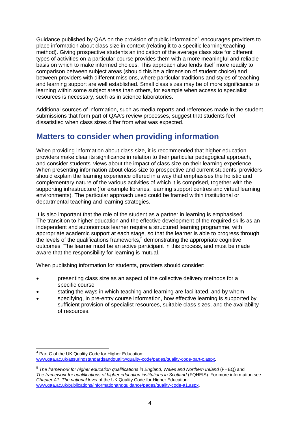Guidance published by QAA on the provision of public information<sup>4</sup> encourages providers to place information about class size in context (relating it to a specific learning/teaching method). Giving prospective students an indication of the average class size for different types of activities on a particular course provides them with a more meaningful and reliable basis on which to make informed choices. This approach also lends itself more readily to comparison between subject areas (should this be a dimension of student choice) and between providers with different missions, where particular traditions and styles of teaching and learning support are well established. Small class sizes may be of more significance to learning within some subject areas than others, for example when access to specialist resources is necessary, such as in science laboratories.

Additional sources of information, such as media reports and references made in the student submissions that form part of QAA's review processes, suggest that students feel dissatisfied when class sizes differ from what was expected.

# <span id="page-5-0"></span>**Matters to consider when providing information**

When providing information about class size, it is recommended that higher education providers make clear its significance in relation to their particular pedagogical approach, and consider students' views about the impact of class size on their learning experience. When presenting information about class size to prospective and current students, providers should explain the learning experience offered in a way that emphasises the holistic and complementary nature of the various activities of which it is comprised, together with the supporting infrastructure (for example libraries, learning support centres and virtual learning environments). The particular approach used could be framed within institutional or departmental teaching and learning strategies.

It is also important that the role of the student as a partner in learning is emphasised. The transition to higher education and the effective development of the required skills as an independent and autonomous learner require a structured learning programme, with appropriate academic support at each stage, so that the learner is able to progress through the levels of the qualifications frameworks,<sup>5</sup> demonstrating the appropriate cognitive outcomes. The learner must be an active participant in this process, and must be made aware that the responsibility for learning is mutual.

When publishing information for students, providers should consider:

- presenting class size as an aspect of the collective delivery methods for a specific course
- stating the ways in which teaching and learning are facilitated, and by whom
- specifying, in pre-entry course information, how effective learning is supported by sufficient provision of specialist resources, suitable class sizes, and the availability of resources.

 $\overline{a}$ <sup>4</sup> Part C of the UK Quality Code for Higher Education: [www.qaa.ac.uk/assuringstandardsandquality/quality-code/pages/quality-code-part-c.aspx.](http://www.qaa.ac.uk/AssuringStandardsAndQuality/quality-code/Pages/Quality-Code-Part-C.aspx)

<sup>5</sup> *The framework for higher education qualifications in England, Wales and Northern Ireland* (FHEQ) and *The framework for qualifications of higher education institutions in Scotland* (FQHEIS). For more information see *Chapter A1: The national level* of the UK Quality Code for Higher Education: [www.qaa.ac.uk/publications/informationandguidance/pages/quality-code-a1.aspx.](http://www.qaa.ac.uk/publications/informationandguidance/pages/quality-code-A1.aspx)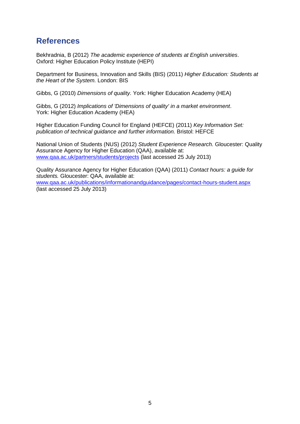# <span id="page-6-0"></span>**References**

Bekhradnia, B (2012) *The academic experience of students at English universities*. Oxford: Higher Education Policy Institute (HEPI)

Department for Business, Innovation and Skills (BIS) (2011) *Higher Education: Students at the Heart of the System.* London: BIS

Gibbs, G (2010) *Dimensions of quality.* York: Higher Education Academy (HEA)

Gibbs, G (2012) *Implications of 'Dimensions of quality' in a market environment*. York: Higher Education Academy (HEA)

Higher Education Funding Council for England (HEFCE) (2011) *Key Information Set: publication of technical guidance and further information.* Bristol: HEFCE

National Union of Students (NUS) (2012) *Student Experience Research.* Gloucester: Quality Assurance Agency for Higher Education (QAA), available at: [www.qaa.ac.uk/partners/students/projects](http://www.qaa.ac.uk/partners/students/projects) (last accessed 25 July 2013)

Quality Assurance Agency for Higher Education (QAA) (2011) *Contact hours: a guide for students.* Gloucester: QAA, available at: [www.qaa.ac.uk/publications/informationandguidance/pages/contact-hours-student.aspx](http://www.qaa.ac.uk/publications/informationandguidance/pages/contact-hours-student.aspx) (last accessed 25 July 2013)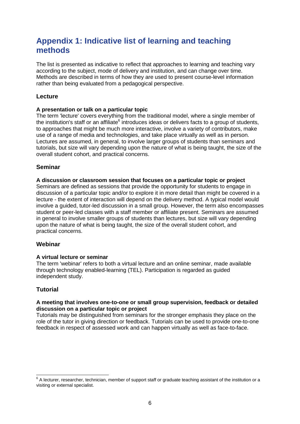# <span id="page-7-0"></span>**Appendix 1: Indicative list of learning and teaching methods**

The list is presented as indicative to reflect that approaches to learning and teaching vary according to the subject, mode of delivery and institution, and can change over time. Methods are described in terms of how they are used to present course-level information rather than being evaluated from a pedagogical perspective.

## **Lecture**

#### **A presentation or talk on a particular topic**

The term 'lecture' covers everything from the traditional model, where a single member of the institution's staff or an affiliate<sup>6</sup> introduces ideas or delivers facts to a group of students, to approaches that might be much more interactive, involve a variety of contributors, make use of a range of media and technologies, and take place virtually as well as in person. Lectures are assumed, in general, to involve larger groups of students than seminars and tutorials, but size will vary depending upon the nature of what is being taught, the size of the overall student cohort, and practical concerns.

## **Seminar**

#### **A discussion or classroom session that focuses on a particular topic or project**

Seminars are defined as sessions that provide the opportunity for students to engage in discussion of a particular topic and/or to explore it in more detail than might be covered in a lecture - the extent of interaction will depend on the delivery method. A typical model would involve a guided, tutor-led discussion in a small group. However, the term also encompasses student or peer-led classes with a staff member or affiliate present. Seminars are assumed in general to involve smaller groups of students than lectures, but size will vary depending upon the nature of what is being taught, the size of the overall student cohort, and practical concerns.

#### **Webinar**

#### **A virtual lecture or seminar**

The term 'webinar' refers to both a virtual lecture and an online seminar, made available through technology enabled-learning (TEL). Participation is regarded as guided independent study.

## **Tutorial**

#### **A meeting that involves one-to-one or small group supervision, feedback or detailed discussion on a particular topic or project**

Tutorials may be distinguished from seminars for the stronger emphasis they place on the role of the tutor in giving direction or feedback. Tutorials can be used to provide one-to-one feedback in respect of assessed work and can happen virtually as well as face-to-face.

 6 A lecturer, researcher, technician, member of support staff or graduate teaching assistant of the institution or a visiting or external specialist.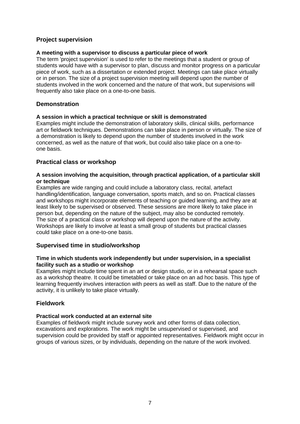### **Project supervision**

#### **A meeting with a supervisor to discuss a particular piece of work**

The term 'project supervision' is used to refer to the meetings that a student or group of students would have with a supervisor to plan, discuss and monitor progress on a particular piece of work, such as a dissertation or extended project. Meetings can take place virtually or in person. The size of a project supervision meeting will depend upon the number of students involved in the work concerned and the nature of that work, but supervisions will frequently also take place on a one-to-one basis.

#### **Demonstration**

#### **A session in which a practical technique or skill is demonstrated**

Examples might include the demonstration of laboratory skills, clinical skills, performance art or fieldwork techniques. Demonstrations can take place in person or virtually. The size of a demonstration is likely to depend upon the number of students involved in the work concerned, as well as the nature of that work, but could also take place on a one-toone basis.

#### **Practical class or workshop**

#### **A session involving the acquisition, through practical application, of a particular skill or technique**

Examples are wide ranging and could include a laboratory class, recital, artefact handling/identification, language conversation, sports match, and so on. Practical classes and workshops might incorporate elements of teaching or guided learning, and they are at least likely to be supervised or observed. These sessions are more likely to take place in person but, depending on the nature of the subject, may also be conducted remotely. The size of a practical class or workshop will depend upon the nature of the activity. Workshops are likely to involve at least a small group of students but practical classes could take place on a one-to-one basis.

#### **Supervised time in studio/workshop**

#### **Time in which students work independently but under supervision, in a specialist facility such as a studio or workshop**

Examples might include time spent in an art or design studio, or in a rehearsal space such as a workshop theatre. It could be timetabled or take place on an ad hoc basis. This type of learning frequently involves interaction with peers as well as staff. Due to the nature of the activity, it is unlikely to take place virtually.

#### **Fieldwork**

#### **Practical work conducted at an external site**

Examples of fieldwork might include survey work and other forms of data collection, excavations and explorations. The work might be unsupervised or supervised, and supervision could be provided by staff or appointed representatives. Fieldwork might occur in groups of various sizes, or by individuals, depending on the nature of the work involved.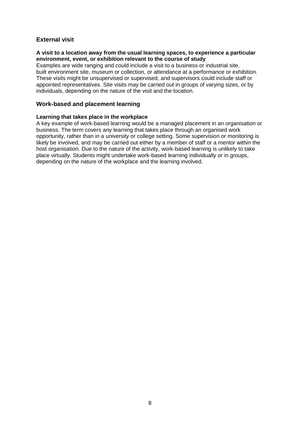## **External visit**

#### **A visit to a location away from the usual learning spaces, to experience a particular environment, event, or exhibition relevant to the course of study**

Examples are wide ranging and could include a visit to a business or industrial site, built environment site, museum or collection, or attendance at a performance or exhibition. These visits might be unsupervised or supervised, and supervisors could include staff or appointed representatives. Site visits may be carried out in groups of varying sizes, or by individuals, depending on the nature of the visit and the location.

#### **Work-based and placement learning**

#### **Learning that takes place in the workplace**

A key example of work-based learning would be a managed placement in an organisation or business. The term covers any learning that takes place through an organised work opportunity, rather than in a university or college setting. Some supervision or monitoring is likely be involved, and may be carried out either by a member of staff or a mentor within the host organisation. Due to the nature of the activity, work-based learning is unlikely to take place virtually. Students might undertake work-based learning individually or in groups, depending on the nature of the workplace and the learning involved.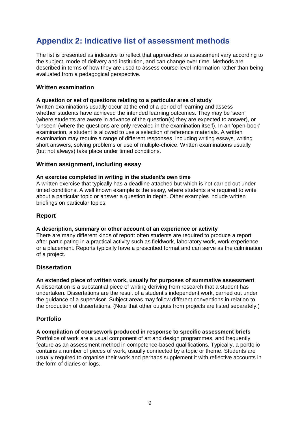# <span id="page-10-0"></span>**Appendix 2: Indicative list of assessment methods**

The list is presented as indicative to reflect that approaches to assessment vary according to the subject, mode of delivery and institution, and can change over time. Methods are described in terms of how they are used to assess course-level information rather than being evaluated from a pedagogical perspective.

#### **Written examination**

#### **A question or set of questions relating to a particular area of study**

Written examinations usually occur at the end of a period of learning and assess whether students have achieved the intended learning outcomes. They may be 'seen' (where students are aware in advance of the question(s) they are expected to answer), or 'unseen' (where the questions are only revealed in the examination itself). In an 'open-book' examination, a student is allowed to use a selection of reference materials. A written examination may require a range of different responses, including writing essays, writing short answers, solving problems or use of multiple-choice. Written examinations usually (but not always) take place under timed conditions.

#### **Written assignment, including essay**

#### **An exercise completed in writing in the student's own time**

A written exercise that typically has a deadline attached but which is not carried out under timed conditions. A well known example is the essay, where students are required to write about a particular topic or answer a question in depth. Other examples include written briefings on particular topics.

## **Report**

#### **A description, summary or other account of an experience or activity**

There are many different kinds of report: often students are required to produce a report after participating in a practical activity such as fieldwork, laboratory work, work experience or a placement. Reports typically have a prescribed format and can serve as the culmination of a project.

#### **Dissertation**

#### **An extended piece of written work, usually for purposes of summative assessment**

A dissertation is a substantial piece of writing deriving from research that a student has undertaken. Dissertations are the result of a student's independent work, carried out under the guidance of a supervisor. Subject areas may follow different conventions in relation to the production of dissertations. (Note that other outputs from projects are listed separately.)

#### **Portfolio**

#### **A compilation of coursework produced in response to specific assessment briefs**

Portfolios of work are a usual component of art and design programmes, and frequently feature as an assessment method in competence-based qualifications. Typically, a portfolio contains a number of pieces of work, usually connected by a topic or theme. Students are usually required to organise their work and perhaps supplement it with reflective accounts in the form of diaries or logs.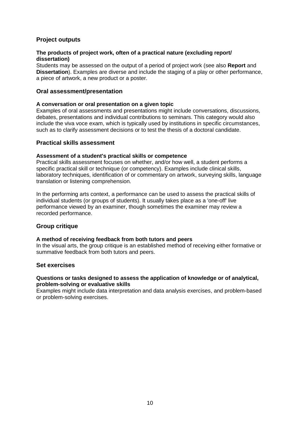## **Project outputs**

#### **The products of project work, often of a practical nature (excluding report/ dissertation)**

Students may be assessed on the output of a period of project work (see also **Report** and **Dissertation**). Examples are diverse and include the staging of a play or other performance, a piece of artwork, a new product or a poster.

#### **Oral assessment/presentation**

#### **A conversation or oral presentation on a given topic**

Examples of oral assessments and presentations might include conversations, discussions, debates, presentations and individual contributions to seminars. This category would also include the viva voce exam, which is typically used by institutions in specific circumstances, such as to clarify assessment decisions or to test the thesis of a doctoral candidate.

#### **Practical skills assessment**

#### **Assessment of a student's practical skills or competence**

Practical skills assessment focuses on whether, and/or how well, a student performs a specific practical skill or technique (or competency). Examples include clinical skills, laboratory techniques, identification of or commentary on artwork, surveying skills, language translation or listening comprehension.

In the performing arts context, a performance can be used to assess the practical skills of individual students (or groups of students). It usually takes place as a 'one-off' live performance viewed by an examiner, though sometimes the examiner may review a recorded performance.

#### **Group critique**

#### **A method of receiving feedback from both tutors and peers**

In the visual arts, the group critique is an established method of receiving either formative or summative feedback from both tutors and peers.

#### **Set exercises**

#### **Questions or tasks designed to assess the application of knowledge or of analytical, problem-solving or evaluative skills**

Examples might include data interpretation and data analysis exercises, and problem-based or problem-solving exercises.